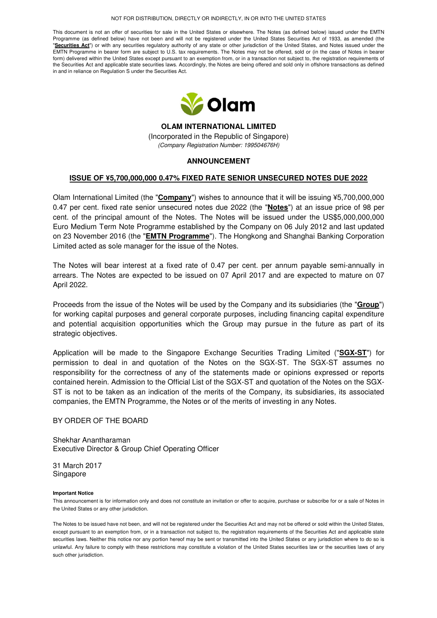#### NOT FOR DISTRIBUTION, DIRECTLY OR INDIRECTLY, IN OR INTO THE UNITED STATES

This document is not an offer of securities for sale in the United States or elsewhere. The Notes (as defined below) issued under the EMTN Programme (as defined below) have not been and will not be registered under the United States Securities Act of 1933, as amended (the "Securities Act") or with any securities regulatory authority of any state or other jurisdiction of the United States, and Notes issued under the EMTN Programme in bearer form are subject to U.S. tax requirements. The Notes may not be offered, sold or (in the case of Notes in bearer form) delivered within the United States except pursuant to an exemption from, or in a transaction not subject to, the registration requirements of the Securities Act and applicable state securities laws. Accordingly, the Notes are being offered and sold only in offshore transactions as defined in and in reliance on Regulation S under the Securities Act.



**OLAM INTERNATIONAL LIMITED**  (Incorporated in the Republic of Singapore) (Company Registration Number: 199504676H)

# **ANNOUNCEMENT**

## **ISSUE OF ¥5,700,000,000 0.47% FIXED RATE SENIOR UNSECURED NOTES DUE 2022**

Olam International Limited (the "**Company**") wishes to announce that it will be issuing ¥5,700,000,000 0.47 per cent. fixed rate senior unsecured notes due 2022 (the "**Notes**") at an issue price of 98 per cent. of the principal amount of the Notes. The Notes will be issued under the US\$5,000,000,000 Euro Medium Term Note Programme established by the Company on 06 July 2012 and last updated on 23 November 2016 (the "**EMTN Programme**"). The Hongkong and Shanghai Banking Corporation Limited acted as sole manager for the issue of the Notes.

The Notes will bear interest at a fixed rate of 0.47 per cent. per annum payable semi-annually in arrears. The Notes are expected to be issued on 07 April 2017 and are expected to mature on 07 April 2022.

Proceeds from the issue of the Notes will be used by the Company and its subsidiaries (the "**Group**") for working capital purposes and general corporate purposes, including financing capital expenditure and potential acquisition opportunities which the Group may pursue in the future as part of its strategic objectives.

Application will be made to the Singapore Exchange Securities Trading Limited ("**SGX-ST**") for permission to deal in and quotation of the Notes on the SGX-ST. The SGX-ST assumes no responsibility for the correctness of any of the statements made or opinions expressed or reports contained herein. Admission to the Official List of the SGX-ST and quotation of the Notes on the SGX-ST is not to be taken as an indication of the merits of the Company, its subsidiaries, its associated companies, the EMTN Programme, the Notes or of the merits of investing in any Notes.

### BY ORDER OF THE BOARD

Shekhar Anantharaman Executive Director & Group Chief Operating Officer

31 March 2017 Singapore

### **Important Notice**

This announcement is for information only and does not constitute an invitation or offer to acquire, purchase or subscribe for or a sale of Notes in the United States or any other jurisdiction.

The Notes to be issued have not been, and will not be registered under the Securities Act and may not be offered or sold within the United States, except pursuant to an exemption from, or in a transaction not subject to, the registration requirements of the Securities Act and applicable state securities laws. Neither this notice nor any portion hereof may be sent or transmitted into the United States or any jurisdiction where to do so is unlawful. Any failure to comply with these restrictions may constitute a violation of the United States securities law or the securities laws of any such other jurisdiction.